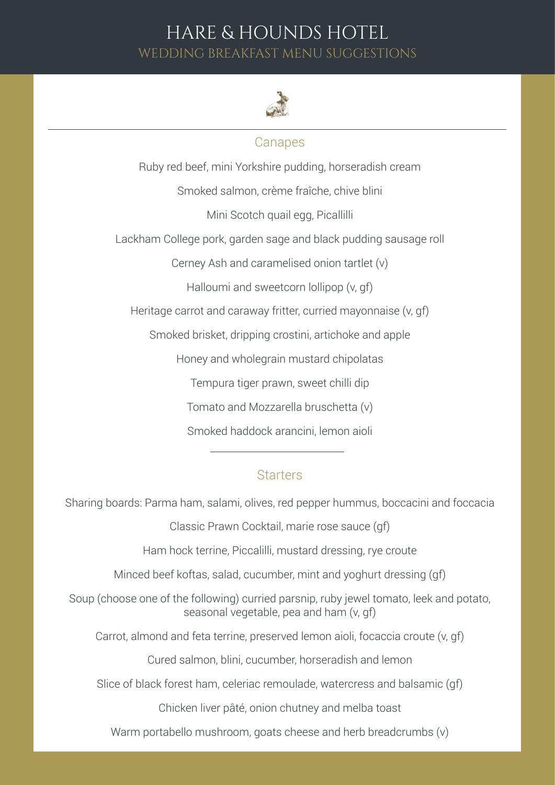### HARE & HOUNDS HOTEL WEDDING BREAKFAST MENU SUGGESTIONS



#### **Canapes**

Ruby red beef, mini Yorkshire pudding, horseradish cream Smoked salmon, crème fraîche, chive blini Mini Scotch quail egg, Picallilli Lackham College pork, garden sage and black pudding sausage roll Cerney Ash and caramelised onion tartlet (v) Halloumi and sweetcorn lollipop (v, gf) Heritage carrot and caraway fritter, curried mayonnaise (v, gf) Smoked brisket, dripping crostini, artichoke and apple Honey and wholegrain mustard chipolatas Tempura tiger prawn, sweet chilli dip Tomato and Mozzarella bruschetta (v) Smoked haddock arancini, lemon aioli

#### **Starters**

Sharing boards: Parma ham, salami, olives, red pepper hummus, boccacini and foccacia

Classic Prawn Cocktail, marie rose sauce (gf)

Ham hock terrine, Piccalilli, mustard dressing, rye croute

Minced beef koftas, salad, cucumber, mint and yoghurt dressing (gf)

Soup (choose one of the following) curried parsnip, ruby jewel tomato, leek and potato, seasonal vegetable, pea and ham (v, gf)

Carrot, almond and feta terrine, preserved lemon aioli, focaccia croute (v, gf)

Cured salmon, blini, cucumber, horseradish and lemon

Slice of black forest ham, celeriac remoulade, watercress and balsamic (gf)

Chicken liver pâté, onion chutney and melba toast

Warm portabello mushroom, goats cheese and herb breadcrumbs (v)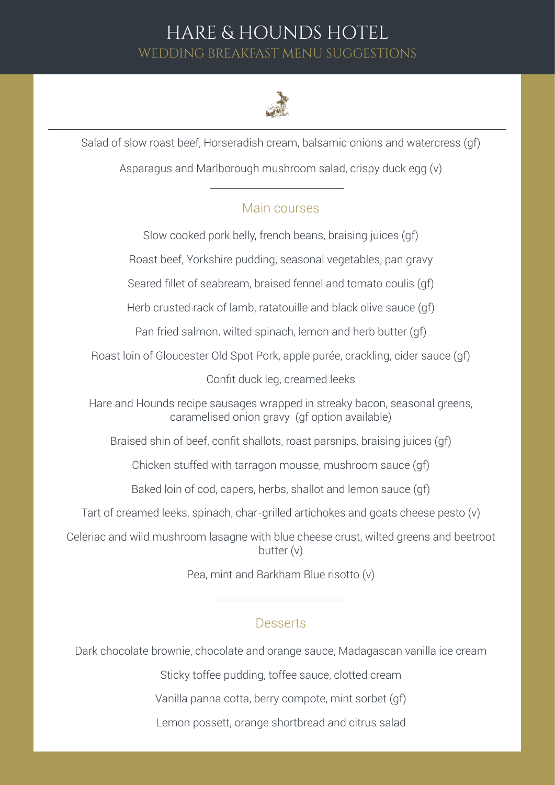## HARE & HOUNDS HOTEL WEDDING BREAKFAST MENU SUGGESTIONS



Salad of slow roast beef, Horseradish cream, balsamic onions and watercress (gf)

Asparagus and Marlborough mushroom salad, crispy duck egg (v)

### Main courses

Slow cooked pork belly, french beans, braising juices (gf)

Roast beef, Yorkshire pudding, seasonal vegetables, pan gravy

Seared fillet of seabream, braised fennel and tomato coulis (gf)

Herb crusted rack of lamb, ratatouille and black olive sauce (gf)

Pan fried salmon, wilted spinach, lemon and herb butter (gf)

Roast loin of Gloucester Old Spot Pork, apple purée, crackling, cider sauce (gf)

Confit duck leg, creamed leeks

Hare and Hounds recipe sausages wrapped in streaky bacon, seasonal greens, caramelised onion gravy (gf option available)

Braised shin of beef, confit shallots, roast parsnips, braising juices (gf)

Chicken stuffed with tarragon mousse, mushroom sauce (gf)

Baked loin of cod, capers, herbs, shallot and lemon sauce (gf)

Tart of creamed leeks, spinach, char-grilled artichokes and goats cheese pesto (v)

Celeriac and wild mushroom lasagne with blue cheese crust, wilted greens and beetroot butter (v)

Pea, mint and Barkham Blue risotto (v)

#### **Desserts**

Dark chocolate brownie, chocolate and orange sauce, Madagascan vanilla ice cream

Sticky toffee pudding, toffee sauce, clotted cream

Vanilla panna cotta, berry compote, mint sorbet (gf)

Lemon possett, orange shortbread and citrus salad